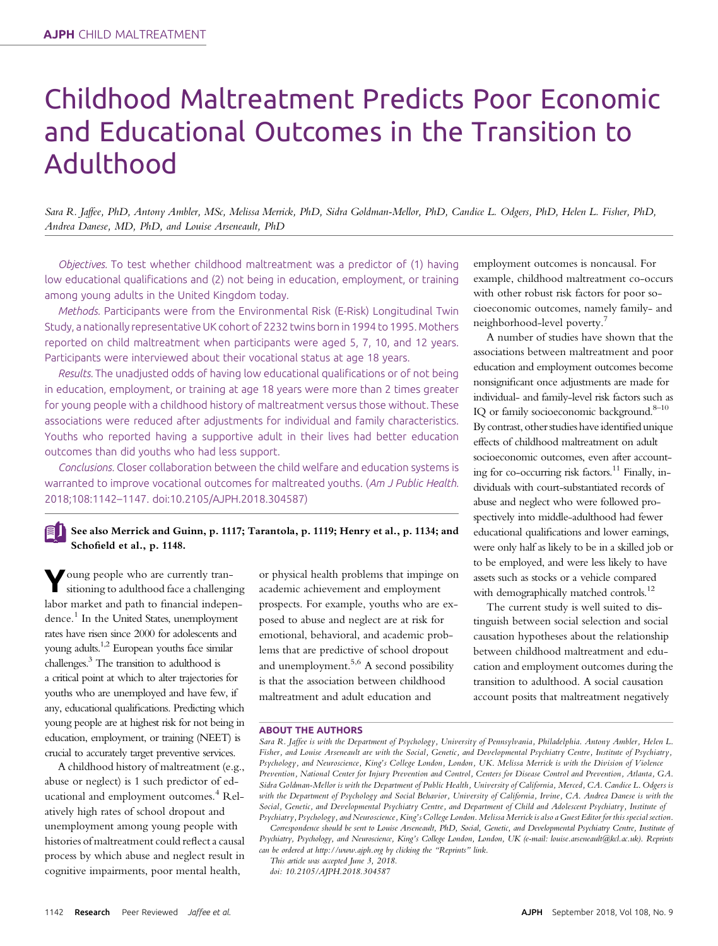# Childhood Maltreatment Predicts Poor Economic and Educational Outcomes in the Transition to Adulthood

Sara R. Jaffee, PhD, Antony Ambler, MSc, Melissa Merrick, PhD, Sidra Goldman-Mellor, PhD, Candice L. Odgers, PhD, Helen L. Fisher, PhD, Andrea Danese, MD, PhD, and Louise Arseneault, PhD

Objectives. To test whether childhood maltreatment was a predictor of (1) having low educational qualifications and (2) not being in education, employment, or training among young adults in the United Kingdom today.

Methods. Participants were from the Environmental Risk (E-Risk) Longitudinal Twin Study, a nationally representative UK cohort of 2232 twins born in 1994 to 1995. Mothers reported on child maltreatment when participants were aged 5, 7, 10, and 12 years. Participants were interviewed about their vocational status at age 18 years.

Results. The unadjusted odds of having low educational qualifications or of not being in education, employment, or training at age 18 years were more than 2 times greater for young people with a childhood history of maltreatment versus those without. These associations were reduced after adjustments for individual and family characteristics. Youths who reported having a supportive adult in their lives had better education outcomes than did youths who had less support.

Conclusions. Closer collaboration between the child welfare and education systems is warranted to improve vocational outcomes for maltreated youths. (Am J Public Health. 2018;108:1142–1147. doi:10.2105/AJPH.2018.304587)

### See also Merrick and Guinn, p. 1117; Tarantola, p. 1119; Henry et al., p. 1134; and Schofield et al., p. 1148.

Young people who are currently transitioning to adulthood face a challenging labor market and path to financial independence.<sup>1</sup> In the United States, unemployment rates have risen since 2000 for adolescents and young adults.1,2 European youths face similar challenges.3 The transition to adulthood is a critical point at which to alter trajectories for youths who are unemployed and have few, if any, educational qualifications. Predicting which young people are at highest risk for not being in education, employment, or training (NEET) is crucial to accurately target preventive services.

A childhood history of maltreatment (e.g., abuse or neglect) is 1 such predictor of educational and employment outcomes.<sup>4</sup> Relatively high rates of school dropout and unemployment among young people with histories of maltreatment could reflect a causal process by which abuse and neglect result in cognitive impairments, poor mental health,

or physical health problems that impinge on academic achievement and employment prospects. For example, youths who are exposed to abuse and neglect are at risk for emotional, behavioral, and academic problems that are predictive of school dropout and unemployment.<sup>5,6</sup> A second possibility is that the association between childhood maltreatment and adult education and

employment outcomes is noncausal. For example, childhood maltreatment co-occurs with other robust risk factors for poor socioeconomic outcomes, namely family- and neighborhood-level poverty.<sup>7</sup>

A number of studies have shown that the associations between maltreatment and poor education and employment outcomes become nonsignificant once adjustments are made for individual- and family-level risk factors such as IQ or family socioeconomic background. $8-10$ By contrast, other studies have identified unique effects of childhood maltreatment on adult socioeconomic outcomes, even after accounting for co-occurring risk factors.<sup>11</sup> Finally, individuals with court-substantiated records of abuse and neglect who were followed prospectively into middle-adulthood had fewer educational qualifications and lower earnings, were only half as likely to be in a skilled job or to be employed, and were less likely to have assets such as stocks or a vehicle compared with demographically matched controls.<sup>12</sup>

The current study is well suited to distinguish between social selection and social causation hypotheses about the relationship between childhood maltreatment and education and employment outcomes during the transition to adulthood. A social causation account posits that maltreatment negatively

#### ABOUT THE AUTHORS

Correspondence should be sent to Louise Arseneault, PhD, Social, Genetic, and Developmental Psychiatry Centre, Institute of Psychiatry, Psychology, and Neuroscience, King's College London, London, UK (e-mail: [louise.arseneault@kcl.ac.uk](mailto:louise.arseneault@kcl.ac.uk)). Reprints can be ordered at<http://www.ajph.org> by clicking the "Reprints" link.

This article was accepted June 3, 2018.

doi: 10.2105/AJPH.2018.304587

Sara R. Jaffee is with the Department of Psychology, University of Pennsylvania, Philadelphia. Antony Ambler, Helen L. Fisher, and Louise Arseneault are with the Social, Genetic, and Developmental Psychiatry Centre, Institute of Psychiatry, Psychology, and Neuroscience, King's College London, London, UK. Melissa Merrick is with the Division of Violence Prevention, National Center for Injury Prevention and Control, Centers for Disease Control and Prevention, Atlanta, GA. Sidra Goldman-Mellor is with the Department of Public Health, University of California, Merced, CA. Candice L. Odgers is with the Department of Psychology and Social Behavior, University of California, Irvine, CA. Andrea Danese is with the Social, Genetic, and Developmental Psychiatry Centre, and Department of Child and Adolescent Psychiatry, Institute of Psychiatry, Psychology, and Neuroscience, King's College London. Melissa Merrick is also a Guest Editor for this special section.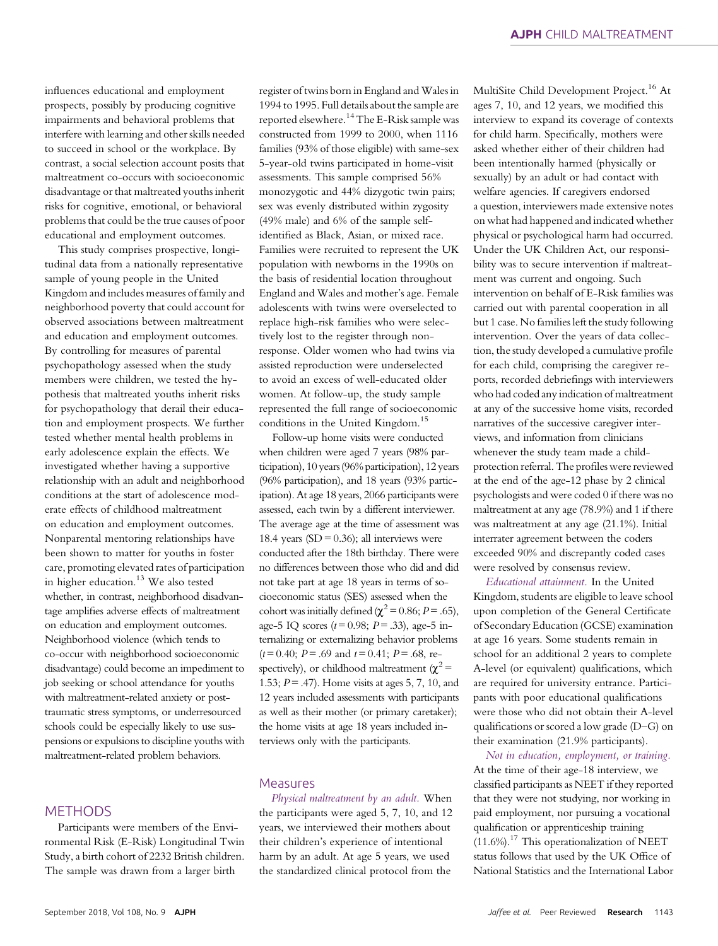influences educational and employment prospects, possibly by producing cognitive impairments and behavioral problems that interfere with learning and other skills needed to succeed in school or the workplace. By contrast, a social selection account posits that maltreatment co-occurs with socioeconomic disadvantage or that maltreated youths inherit risks for cognitive, emotional, or behavioral problems that could be the true causes of poor educational and employment outcomes.

This study comprises prospective, longitudinal data from a nationally representative sample of young people in the United Kingdom and includes measures of family and neighborhood poverty that could account for observed associations between maltreatment and education and employment outcomes. By controlling for measures of parental psychopathology assessed when the study members were children, we tested the hypothesis that maltreated youths inherit risks for psychopathology that derail their education and employment prospects. We further tested whether mental health problems in early adolescence explain the effects. We investigated whether having a supportive relationship with an adult and neighborhood conditions at the start of adolescence moderate effects of childhood maltreatment on education and employment outcomes. Nonparental mentoring relationships have been shown to matter for youths in foster care, promoting elevated rates of participation in higher education.<sup>13</sup> We also tested whether, in contrast, neighborhood disadvantage amplifies adverse effects of maltreatment on education and employment outcomes. Neighborhood violence (which tends to co-occur with neighborhood socioeconomic disadvantage) could become an impediment to job seeking or school attendance for youths with maltreatment-related anxiety or posttraumatic stress symptoms, or underresourced schools could be especially likely to use suspensions or expulsions to discipline youths with maltreatment-related problem behaviors.

## **METHODS**

Participants were members of the Environmental Risk (E-Risk) Longitudinal Twin Study, a birth cohort of 2232 British children. The sample was drawn from a larger birth

register of twins born in England and Wales in 1994 to 1995. Full details about the sample are reported elsewhere.<sup>14</sup> The E-Risk sample was constructed from 1999 to 2000, when 1116 families (93% of those eligible) with same-sex 5-year-old twins participated in home-visit assessments. This sample comprised 56% monozygotic and 44% dizygotic twin pairs; sex was evenly distributed within zygosity (49% male) and 6% of the sample selfidentified as Black, Asian, or mixed race. Families were recruited to represent the UK population with newborns in the 1990s on the basis of residential location throughout England and Wales and mother's age. Female adolescents with twins were overselected to replace high-risk families who were selectively lost to the register through nonresponse. Older women who had twins via assisted reproduction were underselected to avoid an excess of well-educated older women. At follow-up, the study sample represented the full range of socioeconomic conditions in the United Kingdom.<sup>15</sup>

Follow-up home visits were conducted when children were aged 7 years (98% participation), 10 years(96% participation), 12 years (96% participation), and 18 years (93% participation). At age 18 years, 2066 participants were assessed, each twin by a different interviewer. The average age at the time of assessment was 18.4 years (SD =  $0.36$ ); all interviews were conducted after the 18th birthday. There were no differences between those who did and did not take part at age 18 years in terms of socioeconomic status (SES) assessed when the cohort was initially defined ( $\chi^2$  = 0.86; P = .65), age-5 IQ scores ( $t = 0.98$ ;  $P = .33$ ), age-5 internalizing or externalizing behavior problems  $(t= 0.40; P = .69$  and  $t= 0.41; P = .68$ , respectively), or childhood maltreatment ( $\chi^2$  = 1.53; P= .47). Home visits at ages 5, 7, 10, and 12 years included assessments with participants as well as their mother (or primary caretaker); the home visits at age 18 years included interviews only with the participants.

#### Measures

Physical maltreatment by an adult. When the participants were aged 5, 7, 10, and 12 years, we interviewed their mothers about their children's experience of intentional harm by an adult. At age 5 years, we used the standardized clinical protocol from the

MultiSite Child Development Project.<sup>16</sup> At ages 7, 10, and 12 years, we modified this interview to expand its coverage of contexts for child harm. Specifically, mothers were asked whether either of their children had been intentionally harmed (physically or sexually) by an adult or had contact with welfare agencies. If caregivers endorsed a question, interviewers made extensive notes on what had happened and indicated whether physical or psychological harm had occurred. Under the UK Children Act, our responsibility was to secure intervention if maltreatment was current and ongoing. Such intervention on behalf of E-Risk families was carried out with parental cooperation in all but 1 case. No families left the study following intervention. Over the years of data collection, the study developed a cumulative profile for each child, comprising the caregiver reports, recorded debriefings with interviewers who had coded any indication of maltreatment at any of the successive home visits, recorded narratives of the successive caregiver interviews, and information from clinicians whenever the study team made a childprotection referral. The profiles were reviewed at the end of the age-12 phase by 2 clinical psychologists and were coded 0 if there was no maltreatment at any age (78.9%) and 1 if there was maltreatment at any age (21.1%). Initial interrater agreement between the coders exceeded 90% and discrepantly coded cases were resolved by consensus review.

Educational attainment. In the United Kingdom, students are eligible to leave school upon completion of the General Certificate of Secondary Education (GCSE) examination at age 16 years. Some students remain in school for an additional 2 years to complete A-level (or equivalent) qualifications, which are required for university entrance. Participants with poor educational qualifications were those who did not obtain their A-level qualifications or scored a low grade (D–G) on their examination (21.9% participants).

Not in education, employment, or training. At the time of their age-18 interview, we classified participants as NEET if they reported that they were not studying, nor working in paid employment, nor pursuing a vocational qualification or apprenticeship training  $(11.6\%)$ <sup>17</sup> This operationalization of NEET status follows that used by the UK Office of National Statistics and the International Labor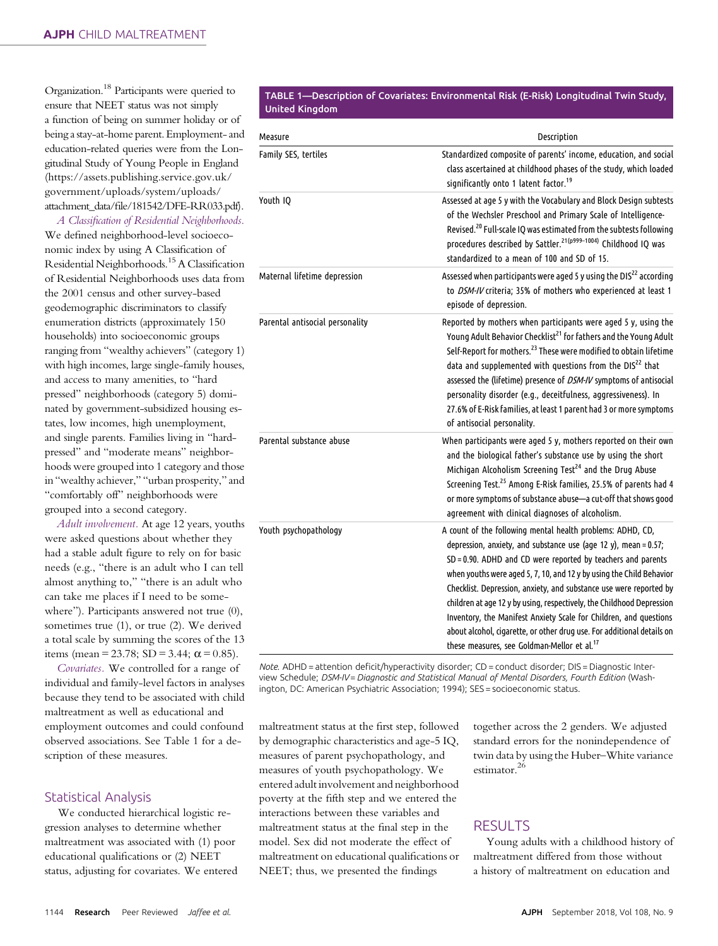Organization.18 Participants were queried to ensure that NEET status was not simply a function of being on summer holiday or of being a stay-at-home parent. Employment- and education-related queries were from the Longitudinal Study of Young People in England ([https://assets.publishing.service.gov.uk/](https://assets.publishing.service.gov.uk/government/uploads/system/uploads/attachment_data/file/181542/DFE-RR033.pdf) [government/uploads/system/uploads/](https://assets.publishing.service.gov.uk/government/uploads/system/uploads/attachment_data/file/181542/DFE-RR033.pdf) attachment\_data/fi[le/181542/DFE-RR033.pdf\)](https://assets.publishing.service.gov.uk/government/uploads/system/uploads/attachment_data/file/181542/DFE-RR033.pdf).

A Classification of Residential Neighborhoods. We defined neighborhood-level socioeconomic index by using A Classification of Residential Neighborhoods.15A Classification of Residential Neighborhoods uses data from the 2001 census and other survey-based geodemographic discriminators to classify enumeration districts (approximately 150 households) into socioeconomic groups ranging from "wealthy achievers" (category 1) with high incomes, large single-family houses, and access to many amenities, to "hard pressed" neighborhoods (category 5) dominated by government-subsidized housing estates, low incomes, high unemployment, and single parents. Families living in "hardpressed" and "moderate means" neighborhoods were grouped into 1 category and those in "wealthy achiever," "urban prosperity," and "comfortably off" neighborhoods were grouped into a second category.

Adult involvement. At age 12 years, youths were asked questions about whether they had a stable adult figure to rely on for basic needs (e.g., "there is an adult who I can tell almost anything to," "there is an adult who can take me places if I need to be somewhere"). Participants answered not true  $(0)$ , sometimes true (1), or true (2). We derived a total scale by summing the scores of the 13 items (mean = 23.78; SD = 3.44;  $\alpha$  = 0.85).

Covariates. We controlled for a range of individual and family-level factors in analyses because they tend to be associated with child maltreatment as well as educational and employment outcomes and could confound observed associations. See Table 1 for a description of these measures.

## Statistical Analysis

We conducted hierarchical logistic regression analyses to determine whether maltreatment was associated with (1) poor educational qualifications or (2) NEET status, adjusting for covariates. We entered

#### TABLE 1—Description of Covariates: Environmental Risk (E-Risk) Longitudinal Twin Study, United Kingdom

| Measure                         | Description                                                                                                                                                                                                                                                                                                                                                                                                                                                                                                                                                                                                                    |
|---------------------------------|--------------------------------------------------------------------------------------------------------------------------------------------------------------------------------------------------------------------------------------------------------------------------------------------------------------------------------------------------------------------------------------------------------------------------------------------------------------------------------------------------------------------------------------------------------------------------------------------------------------------------------|
| Family SES, tertiles            | Standardized composite of parents' income, education, and social<br>class ascertained at childhood phases of the study, which loaded<br>significantly onto 1 latent factor. <sup>19</sup>                                                                                                                                                                                                                                                                                                                                                                                                                                      |
| Youth IQ                        | Assessed at age 5 y with the Vocabulary and Block Design subtests<br>of the Wechsler Preschool and Primary Scale of Intelligence-<br>Revised. <sup>20</sup> Full-scale IQ was estimated from the subtests following<br>procedures described by Sattler. <sup>21(p999-1004)</sup> Childhood IQ was<br>standardized to a mean of 100 and SD of 15.                                                                                                                                                                                                                                                                               |
| Maternal lifetime depression    | Assessed when participants were aged 5 y using the DIS <sup>22</sup> according<br>to DSM-IV criteria; 35% of mothers who experienced at least 1<br>episode of depression.                                                                                                                                                                                                                                                                                                                                                                                                                                                      |
| Parental antisocial personality | Reported by mothers when participants were aged 5 y, using the<br>Young Adult Behavior Checklist <sup>21</sup> for fathers and the Young Adult<br>Self-Report for mothers. <sup>23</sup> These were modified to obtain lifetime<br>data and supplemented with questions from the DIS <sup>22</sup> that<br>assessed the (lifetime) presence of DSM-IV symptoms of antisocial<br>personality disorder (e.g., deceitfulness, aggressiveness). In<br>27.6% of E-Risk families, at least 1 parent had 3 or more symptoms<br>of antisocial personality.                                                                             |
| Parental substance abuse        | When participants were aged 5 y, mothers reported on their own<br>and the biological father's substance use by using the short<br>Michigan Alcoholism Screening Test <sup>24</sup> and the Drug Abuse<br>Screening Test. <sup>25</sup> Among E-Risk families, 25.5% of parents had 4<br>or more symptoms of substance abuse-a cut-off that shows good<br>agreement with clinical diagnoses of alcoholism.                                                                                                                                                                                                                      |
| Youth psychopathology           | A count of the following mental health problems: ADHD, CD,<br>depression, anxiety, and substance use (age 12 y), mean = 0.57;<br>SD = 0.90. ADHD and CD were reported by teachers and parents<br>when youths were aged 5, 7, 10, and 12 y by using the Child Behavior<br>Checklist. Depression, anxiety, and substance use were reported by<br>children at age 12 y by using, respectively, the Childhood Depression<br>Inventory, the Manifest Anxiety Scale for Children, and questions<br>about alcohol, cigarette, or other drug use. For additional details on<br>these measures, see Goldman-Mellor et al. <sup>17</sup> |

Note. ADHD = attention deficit/hyperactivity disorder; CD = conduct disorder; DIS = Diagnostic Interview Schedule; DSM-IV = Diagnostic and Statistical Manual of Mental Disorders, Fourth Edition (Washington, DC: American Psychiatric Association; 1994); SES = socioeconomic status.

maltreatment status at the first step, followed by demographic characteristics and age-5 IQ, measures of parent psychopathology, and measures of youth psychopathology. We entered adult involvement and neighborhood poverty at the fifth step and we entered the interactions between these variables and maltreatment status at the final step in the model. Sex did not moderate the effect of maltreatment on educational qualifications or NEET; thus, we presented the findings

together across the 2 genders. We adjusted standard errors for the nonindependence of twin data by using the Huber–White variance estimator.<sup>26</sup>

## RESULTS

Young adults with a childhood history of maltreatment differed from those without a history of maltreatment on education and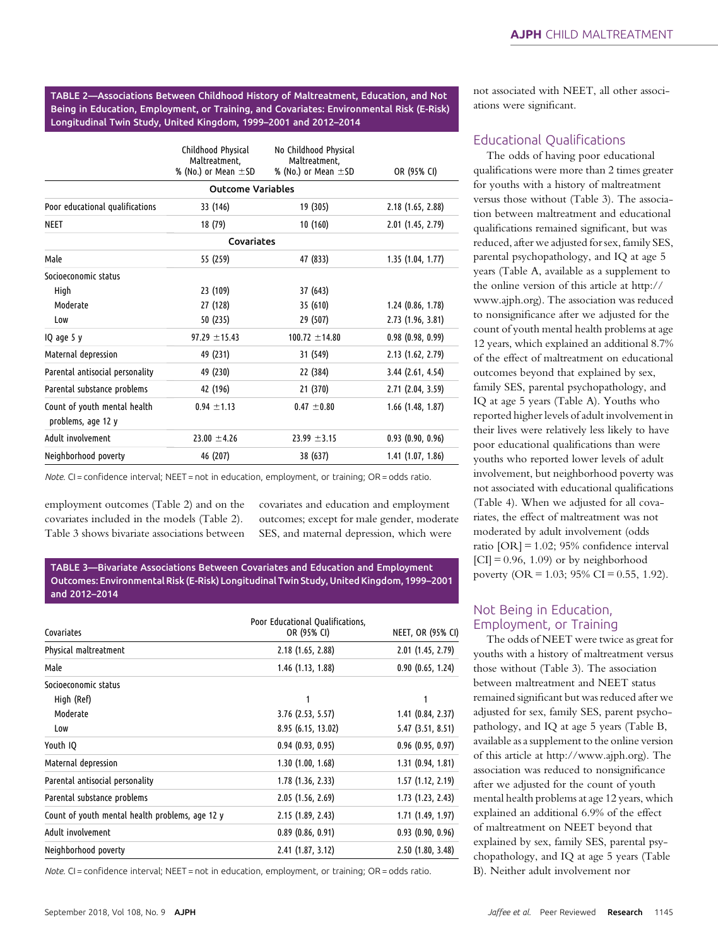TABLE 2—Associations Between Childhood History of Maltreatment, Education, and Not Being in Education, Employment, or Training, and Covariates: Environmental Risk (E-Risk) Longitudinal Twin Study, United Kingdom, 1999–2001 and 2012–2014

|                                                    | Childhood Physical<br>Maltreatment,<br>% (No.) or Mean $\pm$ SD | No Childhood Physical<br>Maltreatment,<br>% (No.) or Mean $\pm$ SD | OR (95% CI)           |
|----------------------------------------------------|-----------------------------------------------------------------|--------------------------------------------------------------------|-----------------------|
|                                                    | <b>Outcome Variables</b>                                        |                                                                    |                       |
| Poor educational qualifications                    | 33 (146)                                                        | 19 (305)                                                           | $2.18$ (1.65, 2.88)   |
| <b>NEET</b>                                        | 18 (79)                                                         | 10(160)                                                            | $2.01$ (1.45, 2.79)   |
|                                                    | Covariates                                                      |                                                                    |                       |
| Male                                               | 55 (259)                                                        | 47 (833)                                                           | 1.35(1.04, 1.77)      |
| Socioeconomic status                               |                                                                 |                                                                    |                       |
| High                                               | 23 (109)                                                        | 37 (643)                                                           |                       |
| Moderate                                           | 27 (128)                                                        | 35 (610)                                                           | $1.24$ (0.86, 1.78)   |
| Low                                                | 50 (235)                                                        | 29 (507)                                                           | 2.73(1.96, 3.81)      |
| IQ age 5 y                                         | $97.29 \pm 15.43$                                               | $100.72 \pm 14.80$                                                 | 0.98(0.98, 0.99)      |
| Maternal depression                                | 49 (231)                                                        | 31 (549)                                                           | 2.13(1.62, 2.79)      |
| Parental antisocial personality                    | 49 (230)                                                        | 22 (384)                                                           | $3.44$ (2.61, 4.54)   |
| Parental substance problems                        | 42 (196)                                                        | 21 (370)                                                           | $2.71$ (2.04, 3.59)   |
| Count of youth mental health<br>problems, age 12 y | $0.94 \pm 1.13$                                                 | $0.47 \pm 0.80$                                                    | $1.66$ (1.48, 1.87)   |
| Adult involvement                                  | $23.00 \pm 4.26$                                                | $23.99 \pm 3.15$                                                   | 0.93(0.90, 0.96)      |
| Neighborhood poverty                               | 46 (207)                                                        | 38 (637)                                                           | $1.41$ $(1.07, 1.86)$ |

Note. CI = confidence interval; NEET = not in education, employment, or training; OR = odds ratio.

employment outcomes (Table 2) and on the covariates included in the models (Table 2). Table 3 shows bivariate associations between covariates and education and employment outcomes; except for male gender, moderate SES, and maternal depression, which were

TABLE 3—Bivariate Associations Between Covariates and Education and Employment Outcomes: Environmental Risk (E-Risk) Longitudinal Twin Study, United Kingdom, 1999–2001 and 2012–2014

| Covariates                                      | Poor Educational Qualifications,<br>OR (95% CI) | <b>NEET, OR (95% CI)</b> |
|-------------------------------------------------|-------------------------------------------------|--------------------------|
| Physical maltreatment                           | $2.18$ (1.65, 2.88)                             | $2.01$ (1.45, 2.79)      |
| Male                                            | $1.46$ (1.13, 1.88)                             | 0.90(0.65, 1.24)         |
| Socioeconomic status                            |                                                 |                          |
| High (Ref)                                      |                                                 |                          |
| Moderate                                        | $3.76$ (2.53, 5.57)                             | $1.41$ (0.84, 2.37)      |
| Low                                             | 8.95 (6.15, 13.02)                              | 5.47(3.51, 8.51)         |
| Youth IQ                                        | 0.94(0.93, 0.95)                                | $0.96$ (0.95, 0.97)      |
| Maternal depression                             | 1.30(1.00, 1.68)                                | $1.31$ (0.94, 1.81)      |
| Parental antisocial personality                 | $1.78$ (1.36, 2.33)                             | $1.57$ (1.12, 2.19)      |
| Parental substance problems                     | 2.05(1.56, 2.69)                                | 1.73(1.23, 2.43)         |
| Count of youth mental health problems, age 12 y | 2.15(1.89, 2.43)                                | 1.71 (1.49, 1.97)        |
| Adult involvement                               | $0.89$ (0.86, 0.91)                             | 0.93(0.90, 0.96)         |
| Neighborhood poverty                            | 2.41(1.87, 3.12)                                | 2.50(1.80, 3.48)         |

Note. CI = confidence interval; NEET = not in education, employment, or training; OR = odds ratio.

not associated with NEET, all other associations were significant.

### Educational Qualifications

The odds of having poor educational qualifications were more than 2 times greater for youths with a history of maltreatment versus those without (Table 3). The association between maltreatment and educational qualifications remained significant, but was reduced, after we adjusted for sex, family SES, parental psychopathology, and IQ at age 5 years (Table A, available as a supplement to the online version of this article at [http://](http://www.ajph.org) [www.ajph.org\)](http://www.ajph.org). The association was reduced to nonsignificance after we adjusted for the count of youth mental health problems at age 12 years, which explained an additional 8.7% of the effect of maltreatment on educational outcomes beyond that explained by sex, family SES, parental psychopathology, and IQ at age 5 years (Table A). Youths who reported higher levels of adult involvement in their lives were relatively less likely to have poor educational qualifications than were youths who reported lower levels of adult involvement, but neighborhood poverty was not associated with educational qualifications (Table 4). When we adjusted for all covariates, the effect of maltreatment was not moderated by adult involvement (odds ratio [OR] = 1.02; 95% confidence interval  $[CI] = 0.96, 1.09$  or by neighborhood poverty (OR = 1.03; 95% CI = 0.55, 1.92).

## Not Being in Education, Employment, or Training

The odds of NEET were twice as great for youths with a history of maltreatment versus those without (Table 3). The association between maltreatment and NEET status remained significant but was reduced after we adjusted for sex, family SES, parent psychopathology, and IQ at age 5 years (Table B, available as a supplement to the online version of this article at [http://www.ajph.org\)](http://www.ajph.org). The association was reduced to nonsignificance after we adjusted for the count of youth mental health problems at age 12 years, which explained an additional 6.9% of the effect of maltreatment on NEET beyond that explained by sex, family SES, parental psychopathology, and IQ at age 5 years (Table B). Neither adult involvement nor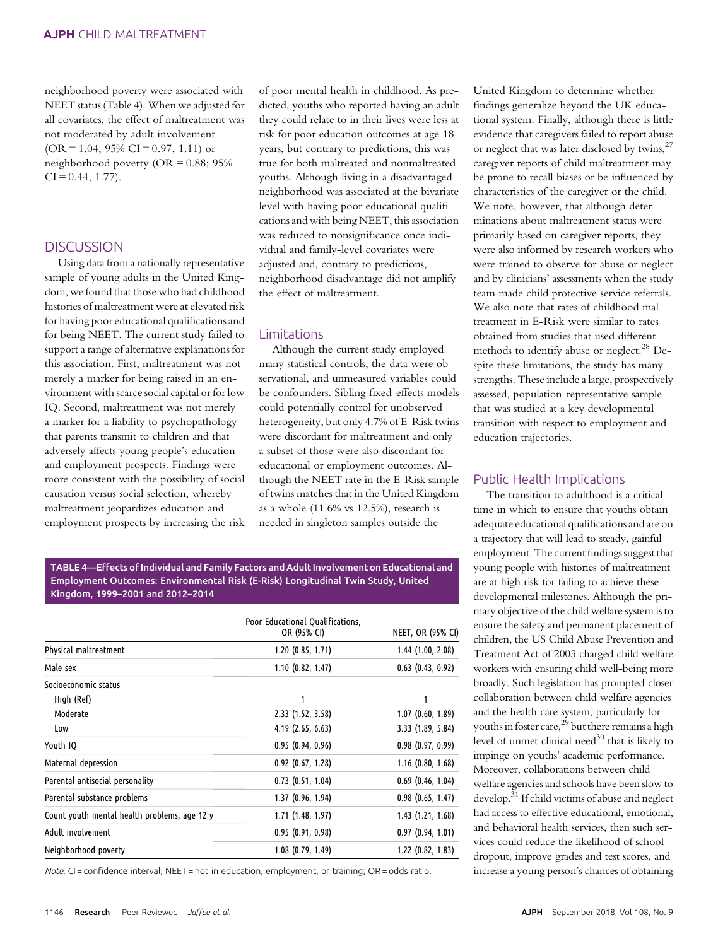neighborhood poverty were associated with NEET status (Table 4). When we adjusted for all covariates, the effect of maltreatment was not moderated by adult involvement  $(OR = 1.04; 95\% CI = 0.97, 1.11)$  or neighborhood poverty (OR = 0.88; 95%  $CI = 0.44, 1.77$ .

## **DISCUSSION**

Using data from a nationally representative sample of young adults in the United Kingdom, we found that those who had childhood histories of maltreatment were at elevated risk for having poor educational qualifications and for being NEET. The current study failed to support a range of alternative explanations for this association. First, maltreatment was not merely a marker for being raised in an environment with scarce social capital or for low IQ. Second, maltreatment was not merely a marker for a liability to psychopathology that parents transmit to children and that adversely affects young people's education and employment prospects. Findings were more consistent with the possibility of social causation versus social selection, whereby maltreatment jeopardizes education and employment prospects by increasing the risk of poor mental health in childhood. As predicted, youths who reported having an adult they could relate to in their lives were less at risk for poor education outcomes at age 18 years, but contrary to predictions, this was true for both maltreated and nonmaltreated youths. Although living in a disadvantaged neighborhood was associated at the bivariate level with having poor educational qualifications and with being NEET, this association was reduced to nonsignificance once individual and family-level covariates were adjusted and, contrary to predictions, neighborhood disadvantage did not amplify the effect of maltreatment.

#### Limitations

Although the current study employed many statistical controls, the data were observational, and unmeasured variables could be confounders. Sibling fixed-effects models could potentially control for unobserved heterogeneity, but only 4.7% of E-Risk twins were discordant for maltreatment and only a subset of those were also discordant for educational or employment outcomes. Although the NEET rate in the E-Risk sample of twins matches that in the United Kingdom as a whole (11.6% vs 12.5%), research is needed in singleton samples outside the

TABLE 4—Effects of Individual and Family Factors and Adult Involvement on Educational and Employment Outcomes: Environmental Risk (E-Risk) Longitudinal Twin Study, United Kingdom, 1999–2001 and 2012–2014

|                                              | Poor Educational Qualifications, |                       |
|----------------------------------------------|----------------------------------|-----------------------|
|                                              | OR (95% CI)                      | NEET, OR (95% CI)     |
| Physical maltreatment                        | $1.20$ (0.85, 1.71)              | $1.44$ (1.00, 2.08)   |
| Male sex                                     | 1.10(0.82, 1.47)                 | $0.63$ $(0.43, 0.92)$ |
| Socioeconomic status                         |                                  |                       |
| High (Ref)                                   |                                  |                       |
| Moderate                                     | 2.33 (1.52, 3.58)                | 1.07(0.60, 1.89)      |
| Low                                          | $4.19$ (2.65, 6.63)              | 3.33(1.89, 5.84)      |
| Youth IQ                                     | 0.95(0.94, 0.96)                 | 0.98(0.97, 0.99)      |
| Maternal depression                          | $0.92$ $(0.67, 1.28)$            | $1.16$ (0.80, 1.68)   |
| Parental antisocial personality              | $0.73$ $(0.51, 1.04)$            | $0.69$ (0.46, 1.04)   |
| Parental substance problems                  | 1.37 (0.96, 1.94)                | $0.98$ (0.65, 1.47)   |
| Count youth mental health problems, age 12 y | $1.71$ (1.48, 1.97)              | 1.43(1.21, 1.68)      |
| Adult involvement                            | 0.95(0.91, 0.98)                 | 0.97(0.94, 1.01)      |
| Neighborhood poverty                         | $1.08$ (0.79, 1.49)              | $1.22$ (0.82, 1.83)   |

Note. CI = confidence interval; NEET = not in education, employment, or training; OR = odds ratio.

United Kingdom to determine whether findings generalize beyond the UK educational system. Finally, although there is little evidence that caregivers failed to report abuse or neglect that was later disclosed by twins,<sup>27</sup> caregiver reports of child maltreatment may be prone to recall biases or be influenced by characteristics of the caregiver or the child. We note, however, that although determinations about maltreatment status were primarily based on caregiver reports, they were also informed by research workers who were trained to observe for abuse or neglect and by clinicians' assessments when the study team made child protective service referrals. We also note that rates of childhood maltreatment in E-Risk were similar to rates obtained from studies that used different methods to identify abuse or neglect.<sup>28</sup> Despite these limitations, the study has many strengths. These include a large, prospectively assessed, population-representative sample that was studied at a key developmental transition with respect to employment and education trajectories.

## Public Health Implications

The transition to adulthood is a critical time in which to ensure that youths obtain adequate educational qualifications and are on a trajectory that will lead to steady, gainful employment. The current findings suggest that young people with histories of maltreatment are at high risk for failing to achieve these developmental milestones. Although the primary objective of the child welfare system is to ensure the safety and permanent placement of children, the US Child Abuse Prevention and Treatment Act of 2003 charged child welfare workers with ensuring child well-being more broadly. Such legislation has prompted closer collaboration between child welfare agencies and the health care system, particularly for youths in foster care,  $29$  but there remains a high level of unmet clinical need<sup>30</sup> that is likely to impinge on youths' academic performance. Moreover, collaborations between child welfare agencies and schools have been slow to develop.31 If child victims of abuse and neglect had access to effective educational, emotional, and behavioral health services, then such services could reduce the likelihood of school dropout, improve grades and test scores, and increase a young person's chances of obtaining